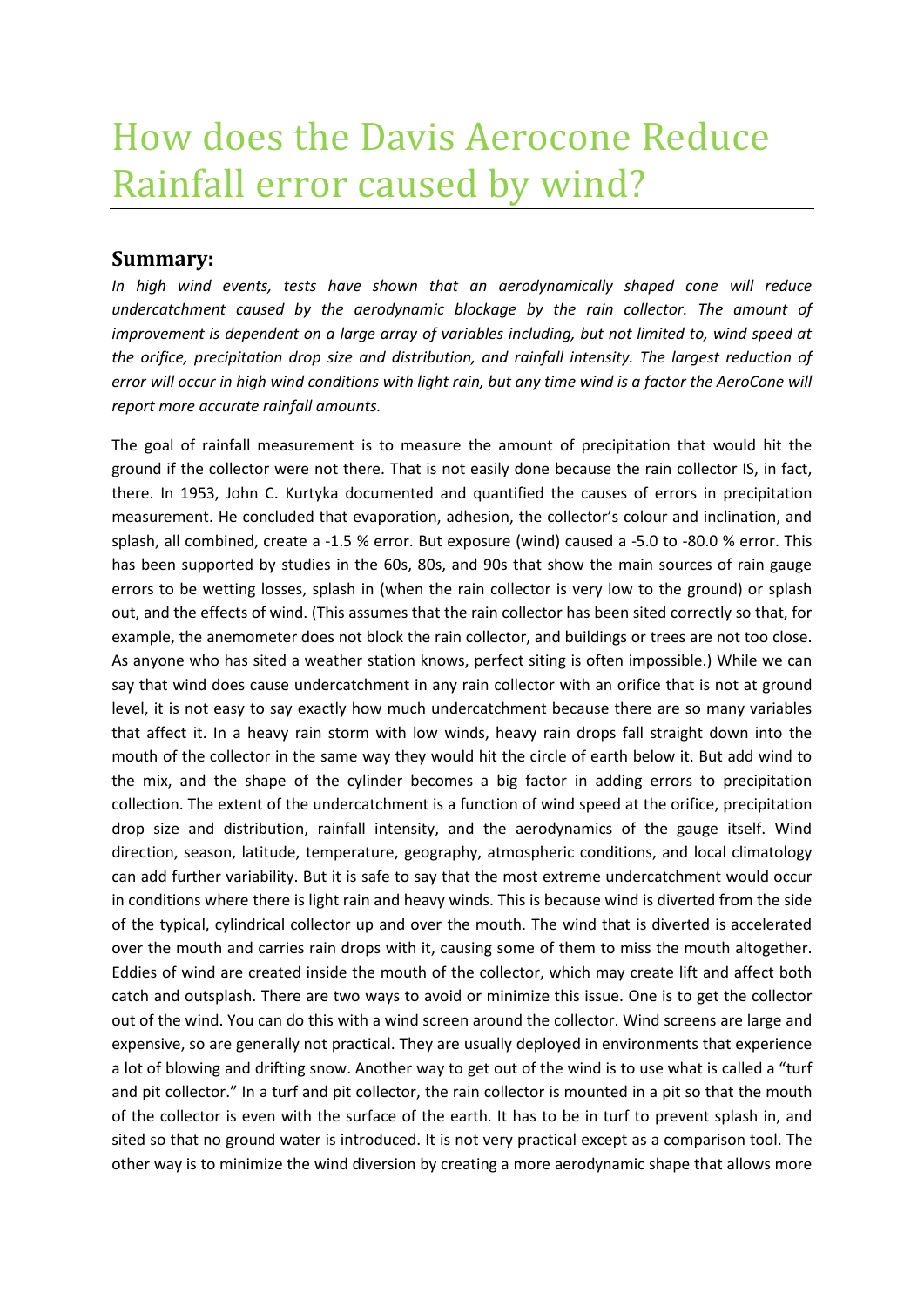## How does the Davis Aerocone Reduce Rainfall error caused by wind?

## **Summary:**

*In high wind events, tests have shown that an aerodynamically shaped cone will reduce undercatchment caused by the aerodynamic blockage by the rain collector. The amount of improvement is dependent on a large array of variables including, but not limited to, wind speed at the orifice, precipitation drop size and distribution, and rainfall intensity. The largest reduction of error will occur in high wind conditions with light rain, but any time wind is a factor the AeroCone will report more accurate rainfall amounts.*

The goal of rainfall measurement is to measure the amount of precipitation that would hit the ground if the collector were not there. That is not easily done because the rain collector IS, in fact, there. In 1953, John C. Kurtyka documented and quantified the causes of errors in precipitation measurement. He concluded that evaporation, adhesion, the collector's colour and inclination, and splash, all combined, create a -1.5 % error. But exposure (wind) caused a -5.0 to -80.0 % error. This has been supported by studies in the 60s, 80s, and 90s that show the main sources of rain gauge errors to be wetting losses, splash in (when the rain collector is very low to the ground) or splash out, and the effects of wind. (This assumes that the rain collector has been sited correctly so that, for example, the anemometer does not block the rain collector, and buildings or trees are not too close. As anyone who has sited a weather station knows, perfect siting is often impossible.) While we can say that wind does cause undercatchment in any rain collector with an orifice that is not at ground level, it is not easy to say exactly how much undercatchment because there are so many variables that affect it. In a heavy rain storm with low winds, heavy rain drops fall straight down into the mouth of the collector in the same way they would hit the circle of earth below it. But add wind to the mix, and the shape of the cylinder becomes a big factor in adding errors to precipitation collection. The extent of the undercatchment is a function of wind speed at the orifice, precipitation drop size and distribution, rainfall intensity, and the aerodynamics of the gauge itself. Wind direction, season, latitude, temperature, geography, atmospheric conditions, and local climatology can add further variability. But it is safe to say that the most extreme undercatchment would occur in conditions where there is light rain and heavy winds. This is because wind is diverted from the side of the typical, cylindrical collector up and over the mouth. The wind that is diverted is accelerated over the mouth and carries rain drops with it, causing some of them to miss the mouth altogether. Eddies of wind are created inside the mouth of the collector, which may create lift and affect both catch and outsplash. There are two ways to avoid or minimize this issue. One is to get the collector out of the wind. You can do this with a wind screen around the collector. Wind screens are large and expensive, so are generally not practical. They are usually deployed in environments that experience a lot of blowing and drifting snow. Another way to get out of the wind is to use what is called a "turf and pit collector." In a turf and pit collector, the rain collector is mounted in a pit so that the mouth of the collector is even with the surface of the earth. It has to be in turf to prevent splash in, and sited so that no ground water is introduced. It is not very practical except as a comparison tool. The other way is to minimize the wind diversion by creating a more aerodynamic shape that allows more